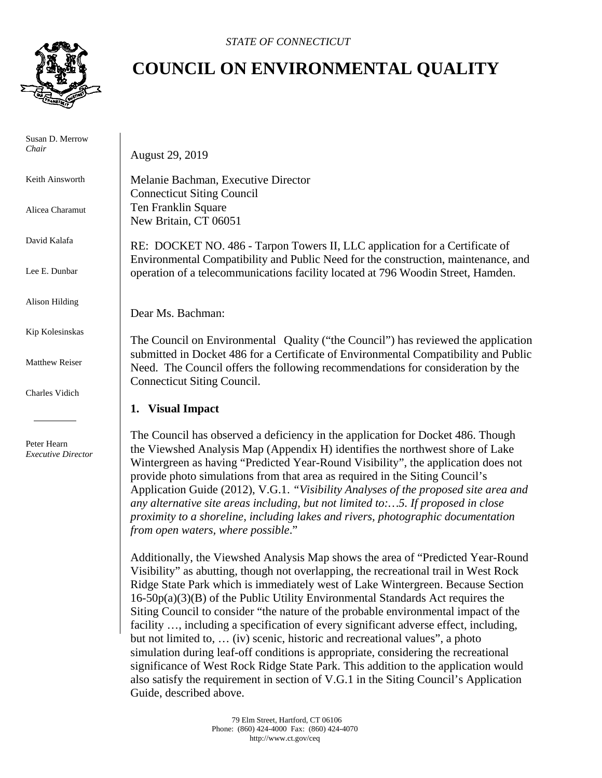

 Susan D. Merrow *Chair* 

Keith Ainsworth

Alicea Charamut

David Kalafa

Lee E. Dunbar

Alison Hilding

Kip Kolesinskas

Matthew Reiser

Charles Vidich

 Peter Hearn  *Executive Director*

## **COUNCIL ON ENVIRONMENTAL QUALITY**

August 29, 2019

Melanie Bachman, Executive Director Connecticut Siting Council Ten Franklin Square New Britain, CT 06051

RE: DOCKET NO. 486 - Tarpon Towers II, LLC application for a Certificate of Environmental Compatibility and Public Need for the construction, maintenance, and operation of a telecommunications facility located at 796 Woodin Street, Hamden.

Dear Ms. Bachman:

The Council on Environmental Quality ("the Council") has reviewed the application submitted in Docket 486 for a Certificate of Environmental Compatibility and Public Need. The Council offers the following recommendations for consideration by the Connecticut Siting Council.

## **1. Visual Impact**

The Council has observed a deficiency in the application for Docket 486. Though the Viewshed Analysis Map (Appendix H) identifies the northwest shore of Lake Wintergreen as having "Predicted Year-Round Visibility", the application does not provide photo simulations from that area as required in the Siting Council's Application Guide (2012), V.G.1. *"Visibility Analyses of the proposed site area and any alternative site areas including, but not limited to:…5. If proposed in close proximity to a shoreline, including lakes and rivers, photographic documentation from open waters, where possible*."

Additionally, the Viewshed Analysis Map shows the area of "Predicted Year-Round Visibility" as abutting, though not overlapping, the recreational trail in West Rock Ridge State Park which is immediately west of Lake Wintergreen. Because Section 16-50p(a)(3)(B) of the Public Utility Environmental Standards Act requires the Siting Council to consider "the nature of the probable environmental impact of the facility …, including a specification of every significant adverse effect, including, but not limited to, … (iv) scenic, historic and recreational values", a photo simulation during leaf-off conditions is appropriate, considering the recreational significance of West Rock Ridge State Park. This addition to the application would also satisfy the requirement in section of V.G.1 in the Siting Council's Application Guide, described above.